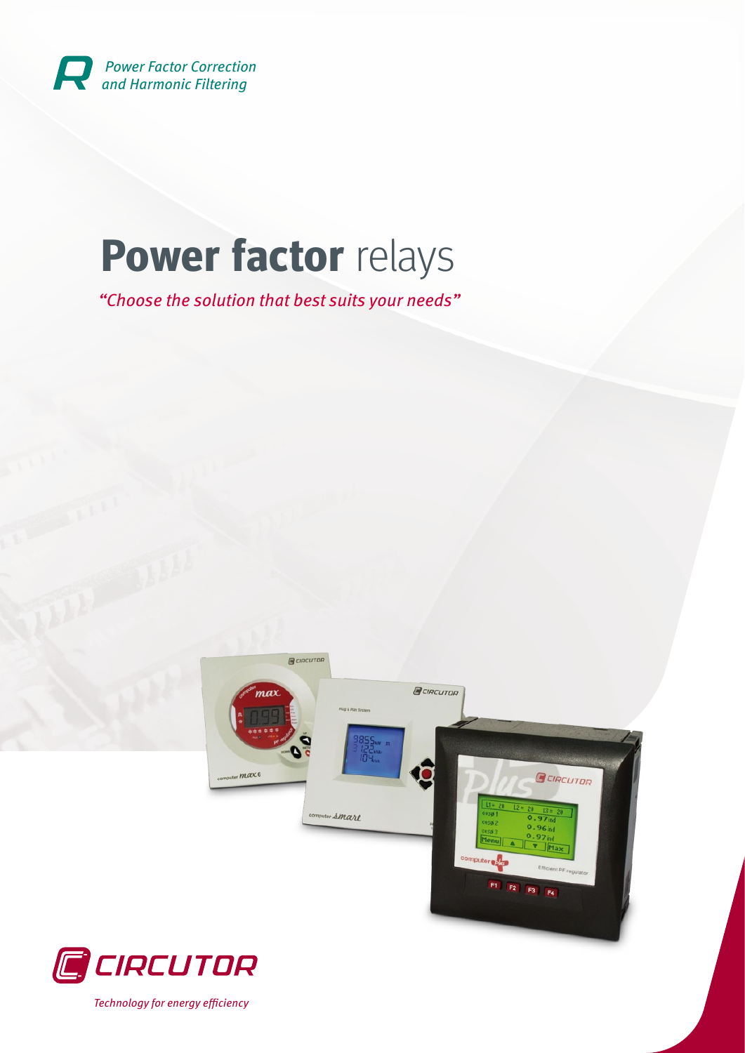

# **Power factor** relays

"Choose the solution that best suits your needs"





Technology for energy efficiency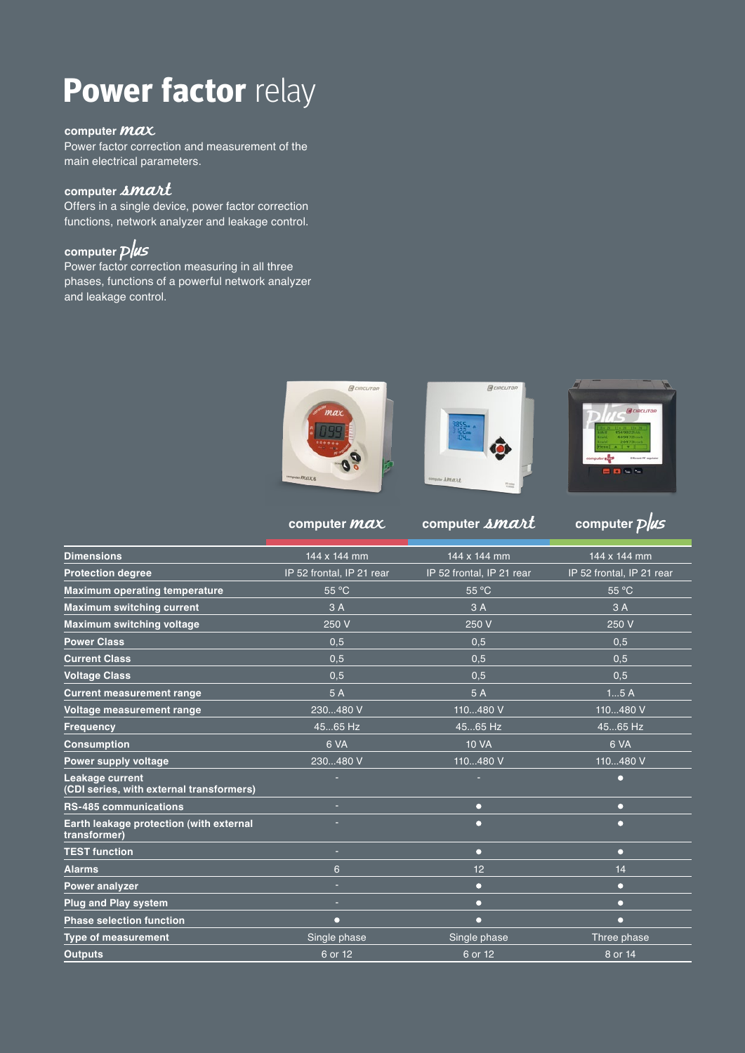## **Power factor relay**

#### computer *MAX*

Power factor correction and measurement of the main electrical parameters.

#### computer *amart*

Offers in a single device, power factor correction functions, network analyzer and leakage control.

#### **computer**

Power factor correction measuring in all three phases, functions of a powerful network analyzer and leakage control.



**REIRCUTE** 



**computer** *max* computer *bmart* computer *plus* 

| <b>Dimensions</b>                                           | 144 x 144 mm              | 144 x 144 mm              | 144 x 144 mm              |
|-------------------------------------------------------------|---------------------------|---------------------------|---------------------------|
| <b>Protection degree</b>                                    | IP 52 frontal, IP 21 rear | IP 52 frontal, IP 21 rear | IP 52 frontal, IP 21 rear |
| <b>Maximum operating temperature</b>                        | 55 °C                     | 55 °C                     | 55 °C                     |
| <b>Maximum switching current</b>                            | 3A                        | 3A                        | 3A                        |
| <b>Maximum switching voltage</b>                            | 250 V                     | 250 V                     | 250 V                     |
| <b>Power Class</b>                                          | 0,5                       | 0,5                       | 0,5                       |
| <b>Current Class</b>                                        | 0,5                       | 0.5                       | 0.5                       |
| <b>Voltage Class</b>                                        | 0.5                       | 0.5                       | 0.5                       |
| <b>Current measurement range</b>                            | 5 A                       | 5 A                       | 15A                       |
| Voltage measurement range                                   | 230480 V                  | 110480 V                  | 110480 V                  |
| <b>Frequency</b>                                            | 4565 Hz                   | 4565 Hz                   | 4565 Hz                   |
| <b>Consumption</b>                                          | 6 VA                      | <b>10 VA</b>              | 6 VA                      |
| Power supply voltage                                        | 230480 V                  | 110480 V                  | 110480 V                  |
| Leakage current<br>(CDI series, with external transformers) |                           |                           | n                         |
| <b>RS-485 communications</b>                                | $\sim$                    | Ω                         | $\Omega$                  |
| Earth leakage protection (with external<br>transformer)     |                           | n                         | n                         |
| <b>TEST function</b>                                        | $\sim$                    | $\Omega$                  | $\Omega$                  |
| <b>Alarms</b>                                               | 6                         | 12                        | 14                        |
| Power analyzer                                              | $\sim$                    | n                         | $\Box$                    |
| <b>Plug and Play system</b>                                 | ÷                         | O                         | n                         |
| <b>Phase selection function</b>                             | $\bullet$                 | n                         | $\Box$                    |
| <b>Type of measurement</b>                                  | Single phase              | Single phase              | Three phase               |
| <b>Outputs</b>                                              | 6 or 12                   | 6 or 12                   | 8 or 14                   |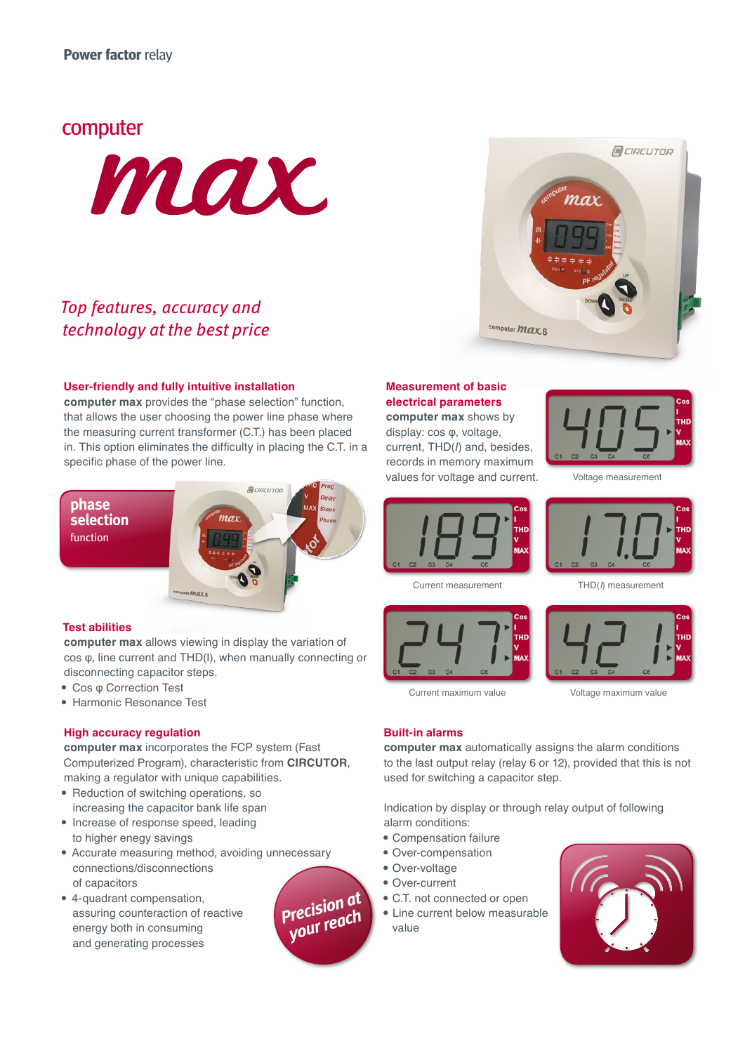#### computer



### Top features, accuracy and technology at the best price

#### **User-friendly and fully intuitive installation**

**computer max** provides the "phase selection" function, that allows the user choosing the power line phase where the measuring current transformer (C.T.) has been placed in. This option eliminates the difficulty in placing the C.T. in a specific phase of the power line.

**phase selection** function



#### **Test abilities**

**computer max** allows viewing in display the variation of cos φ, line current and THD(I), when manually connecting or disconnecting capacitor steps.

- Cos φ Correction Test
- Harmonic Resonance Test

#### **High accuracy regulation**

**computer max** incorporates the FCP system (Fast Computerized Program), characteristic from **CIRCUTOR**, making a regulator with unique capabilities.

- Reduction of switching operations, so increasing the capacitor bank life span
- Increase of response speed, leading to higher enegy savings
- Accurate measuring method, avoiding unnecessary connections/disconnections of capacitors
- 4-quadrant compensation, assuring counteraction of reactive energy both in consuming and generating processes



#### **Measurement of basic electrical parameters**

**computer max** shows by display: cos φ, voltage, current, THD(*I*) and, besides, records in memory maximum values for voltage and current.

computer *Max* 6



GCIRCUTOR

rax

Voltage measurement



Current measurement THD(*I*) measurement



Current maximum value Voltage maximum value

#### **Built-in alarms**

**computer max** automatically assigns the alarm conditions to the last output relay (relay 6 or 12), provided that this is not used for switching a capacitor step.

Indication by display or through relay output of following alarm conditions:

- Compensation failure
- Over-compensation
- Over-voltage
- Over-current
- C.T. not connected or open
- Line current below measurable

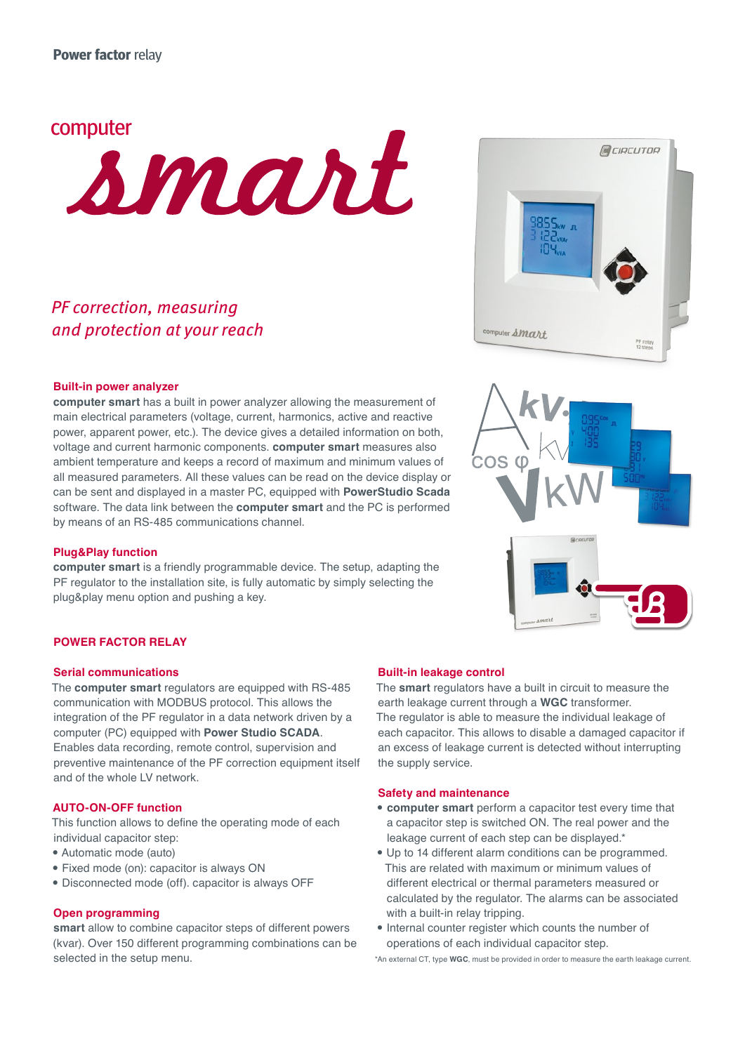

### PF correction, measuring and protection at your reach

#### **Built-in power analyzer**

**computer smart** has a built in power analyzer allowing the measurement of main electrical parameters (voltage, current, harmonics, active and reactive power, apparent power, etc.). The device gives a detailed information on both, voltage and current harmonic components. **computer smart** measures also ambient temperature and keeps a record of maximum and minimum values of all measured parameters. All these values can be read on the device display or can be sent and displayed in a master PC, equipped with **PowerStudio Scada** software. The data link between the **computer smart** and the PC is performed by means of an RS-485 communications channel.

#### **Plug&Play function**

**computer smart** is a friendly programmable device. The setup, adapting the PF regulator to the installation site, is fully automatic by simply selecting the plug&play menu option and pushing a key.

#### **POWER FACTOR RELAY**

#### **Serial communications**

The **computer smart** regulators are equipped with RS-485 communication with MODBUS protocol. This allows the integration of the PF regulator in a data network driven by a computer (PC) equipped with **Power Studio SCADA**. Enables data recording, remote control, supervision and preventive maintenance of the PF correction equipment itself and of the whole LV network.

#### **AUTO-ON-OFF function**

This function allows to define the operating mode of each individual capacitor step:

- Automatic mode (auto)
- Fixed mode (on): capacitor is always ON
- Disconnected mode (off). capacitor is always OFF

#### **Open programming**

**smart** allow to combine capacitor steps of different powers (kvar). Over 150 different programming combinations can be selected in the setup menu.

**Built-in leakage control**

earth leakage current through a **WGC** transformer. The regulator is able to measure the individual leakage of each capacitor. This allows to disable a damaged capacitor if an excess of leakage current is detected without interrupting the supply service.

The **smart** regulators have a built in circuit to measure the

#### **Safety and maintenance**

- **computer smart** perform a capacitor test every time that a capacitor step is switched ON. The real power and the leakage current of each step can be displayed.\*
- Up to 14 different alarm conditions can be programmed. This are related with maximum or minimum values of different electrical or thermal parameters measured or calculated by the regulator. The alarms can be associated with a built-in relay tripping.
- Internal counter register which counts the number of operations of each individual capacitor step.

\*An external CT, type **WGC**, must be provided in order to measure the earth leakage current.



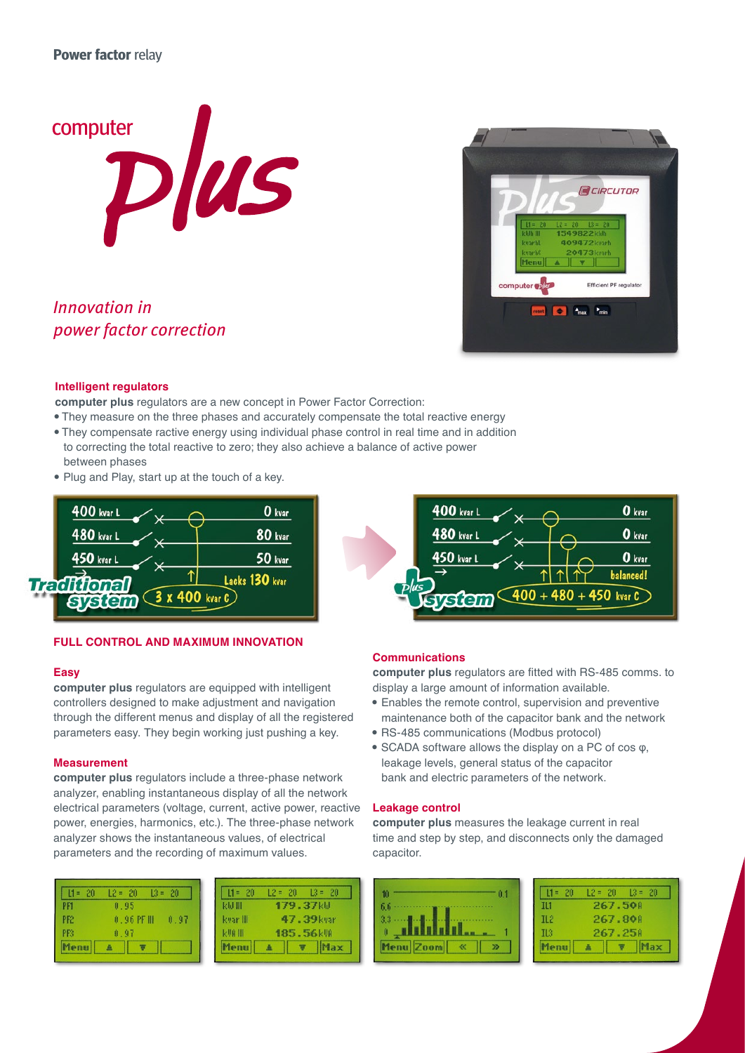

Innovation in power factor correction



#### **Intelligent regulators**

**computer plus** regulators are a new concept in Power Factor Correction:

- They measure on the three phases and accurately compensate the total reactive energy
- They compensate ractive energy using individual phase control in real time and in addition to correcting the total reactive to zero; they also achieve a balance of active power
- between phases
- Plug and Play, start up at the touch of a key.



#### **FULL CONTROL AND MAXIMUM INNOVATION**

#### **Easy**

**computer plus** regulators are equipped with intelligent controllers designed to make adjustment and navigation through the different menus and display of all the registered parameters easy. They begin working just pushing a key.

#### **Measurement**

**computer plus** regulators include a three-phase network analyzer, enabling instantaneous display of all the network electrical parameters (voltage, current, active power, reactive power, energies, harmonics, etc.). The three-phase network analyzer shows the instantaneous values, of electrical parameters and the recording of maximum values.

| $L1 = 20$ | $12 = 20$   | $13 = 20$ |
|-----------|-------------|-----------|
| PF1       | 0.95        |           |
| PF2       | $0.96$ PF H | 0.97      |
| PER       | 0.97        |           |
| Menu 4    | U.          |           |

| $11 = 20$ | $12 = 20$ $13 = 20$ |                    |
|-----------|---------------------|--------------------|
| кы ш      | 179.37kW            |                    |
| kvar III  |                     | 47.39kvar          |
| kVA III   |                     | 185.56kW           |
| Menull    |                     | $   \nabla   $ Max |



#### **Communications**

**computer plus** regulators are fitted with RS-485 comms. to display a large amount of information available.

- Enables the remote control, supervision and preventive maintenance both of the capacitor bank and the network
- RS-485 communications (Modbus protocol)
- SCADA software allows the display on a PC of cos  $φ$ . leakage levels, general status of the capacitor bank and electric parameters of the network.

#### **Leakage control**

**computer plus** measures the leakage current in real time and step by step, and disconnects only the damaged capacitor.

| 6.6<br><br>3.3<br>. . |
|-----------------------|
|                       |
| Ĥ                     |

| $11 = 20$       | $12 = 20$ $13 = 20$ |
|-----------------|---------------------|
| T11             | 267.50H             |
| IL <sub>2</sub> | 267.808             |
| Il3             | 267.258             |
| enu             | $\bullet$<br>Max    |